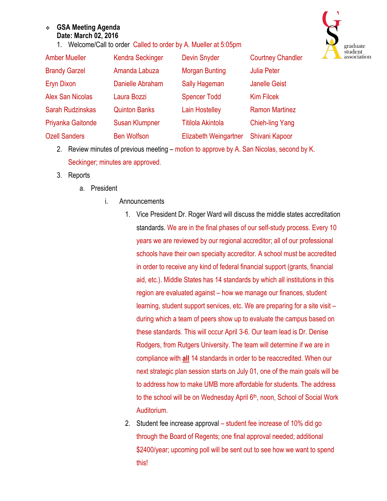## <sup>v</sup> **GSA Meeting Agenda Date: March 02, 2016**

1. Welcome/Call to order Called to order by A. Mueller at 5:05pm



| <b>Amber Mueller</b>    | <b>Kendra Seckinger</b> | <b>Devin Snyder</b>          | <b>Courtney Chandler</b> |
|-------------------------|-------------------------|------------------------------|--------------------------|
| <b>Brandy Garzel</b>    | Amanda Labuza           | <b>Morgan Bunting</b>        | <b>Julia Peter</b>       |
| <b>Eryn Dixon</b>       | Danielle Abraham        | Sally Hageman                | <b>Janelle Geist</b>     |
| <b>Alex San Nicolas</b> | Laura Bozzi             | <b>Spencer Todd</b>          | <b>Kim Filcek</b>        |
| <b>Sarah Rudzinskas</b> | <b>Quinton Banks</b>    | <b>Lain Hostelley</b>        | <b>Ramon Martinez</b>    |
| Priyanka Gaitonde       | <b>Susan Klumpner</b>   | <b>Titilola Akintola</b>     | <b>Chieh-ling Yang</b>   |
| <b>Ozell Sanders</b>    | <b>Ben Wolfson</b>      | <b>Elizabeth Weingartner</b> | Shivani Kapoor           |

- 2. Review minutes of previous meeting motion to approve by A. San Nicolas, second by K. Seckinger; minutes are approved.
- 3. Reports
	- a. President
		- i. Announcements
			- 1. Vice President Dr. Roger Ward will discuss the middle states accreditation standards. We are in the final phases of our self-study process. Every 10 years we are reviewed by our regional accreditor; all of our professional schools have their own specialty accreditor. A school must be accredited in order to receive any kind of federal financial support (grants, financial aid, etc.). Middle States has 14 standards by which all institutions in this region are evaluated against – how we manage our finances, student learning, student support services, etc. We are preparing for a site visit – during which a team of peers show up to evaluate the campus based on these standards. This will occur April 3-6. Our team lead is Dr. Denise Rodgers, from Rutgers University. The team will determine if we are in compliance with **all** 14 standards in order to be reaccredited. When our next strategic plan session starts on July 01, one of the main goals will be to address how to make UMB more affordable for students. The address to the school will be on Wednesday April 6<sup>th</sup>, noon, School of Social Work Auditorium.
			- 2. Student fee increase approval student fee increase of 10% did go through the Board of Regents; one final approval needed; additional \$2400/year; upcoming poll will be sent out to see how we want to spend this!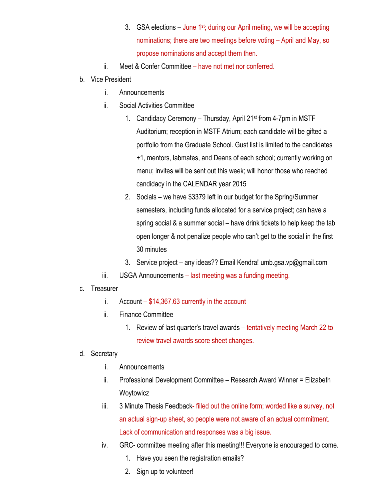- 3. GSA elections June 1st; during our April meting, we will be accepting nominations; there are two meetings before voting – April and May, so propose nominations and accept them then.
- ii. Meet & Confer Committee have not met nor conferred.
- b. Vice President
	- i. Announcements
	- ii. Social Activities Committee
		- 1. Candidacy Ceremony Thursday, April 21st from 4-7pm in MSTF Auditorium; reception in MSTF Atrium; each candidate will be gifted a portfolio from the Graduate School. Gust list is limited to the candidates +1, mentors, labmates, and Deans of each school; currently working on menu; invites will be sent out this week; will honor those who reached candidacy in the CALENDAR year 2015
		- 2. Socials we have \$3379 left in our budget for the Spring/Summer semesters, including funds allocated for a service project; can have a spring social & a summer social – have drink tickets to help keep the tab open longer & not penalize people who can't get to the social in the first 30 minutes
		- 3. Service project any ideas?? Email Kendra! umb.gsa.vp@gmail.com
	- iii. USGA Announcements last meeting was a funding meeting.
- c. Treasurer
	- i. Account \$14,367.63 currently in the account
	- ii. Finance Committee
		- 1. Review of last quarter's travel awards tentatively meeting March 22 to review travel awards score sheet changes.
- d. Secretary
	- i. Announcements
	- ii. Professional Development Committee Research Award Winner = Elizabeth Woytowicz
	- iii. 3 Minute Thesis Feedback- filled out the online form; worded like a survey, not an actual sign-up sheet, so people were not aware of an actual commitment. Lack of communication and responses was a big issue.
	- iv. GRC- committee meeting after this meeting!!! Everyone is encouraged to come.
		- 1. Have you seen the registration emails?
		- 2. Sign up to volunteer!